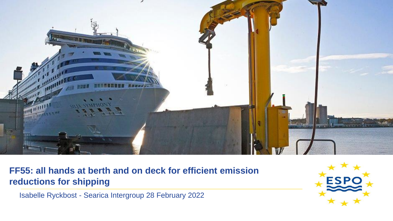

**FF55: all hands at berth and on deck for efficient emission reductions for shipping**

Isabelle Ryckbost - Searica Intergroup 28 February 2022

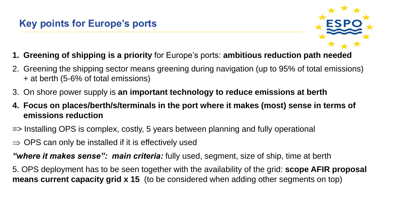

- **1. Greening of shipping is a priority** for Europe's ports: **ambitious reduction path needed**
- 2. Greening the shipping sector means greening during navigation (up to 95% of total emissions) + at berth (5-6% of total emissions)
- 3. On shore power supply is **an important technology to reduce emissions at berth**
- **4. Focus on places/berth/s/terminals in the port where it makes (most) sense in terms of emissions reduction**
- => Installing OPS is complex, costly, 5 years between planning and fully operational
- $\Rightarrow$  OPS can only be installed if it is effectively used

*"where it makes sense": main criteria:* fully used, segment, size of ship, time at berth

5. OPS deployment has to be seen together with the availability of the grid: **scope AFIR proposal means current capacity grid x 15** (to be considered when adding other segments on top)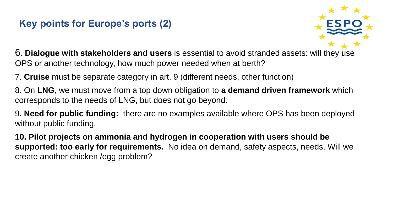

6. **Dialogue with stakeholders and users** is essential to avoid stranded assets: will they use OPS or another technology, how much power needed when at berth?

7. **Cruise** must be separate category in art. 9 (different needs, other function)

8. On **LNG**, we must move from a top down obligation to **a demand driven framework** which corresponds to the needs of LNG, but does not go beyond.

9**. Need for public funding:** there are no examples available where OPS has been deployed without public funding.

**10. Pilot projects on ammonia and hydrogen in cooperation with users should be supported: too early for requirements.** No idea on demand, safety aspects, needs. Will we create another chicken /egg problem?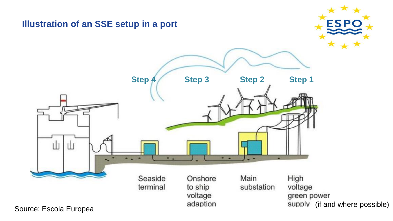### **Illustration of an SSE setup in a port**





Source: Escola Europea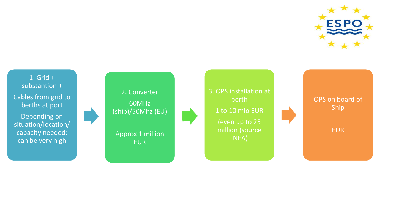



1. Grid + substantion + Cables from grid to berths at port

Depending on situation/location/ capacity needed: can be very high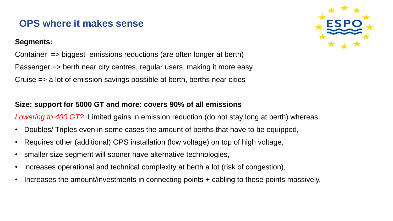#### **Segments:**

Container => biggest emissions reductions (are often longer at berth) Passenger => berth near city centres, regular users, making it more easy Cruise => a lot of emission savings possible at berth, berths near cities

### **Size: support for 5000 GT and more: covers 90% of all emissions**

*Lowering to 400 GT?* Limited gains in emission reduction (do not stay long at berth) whereas:

- Doubles/ Triples even in some cases the amount of berths that have to be equipped,
- Requires other (additional) OPS installation (low voltage) on top of high voltage,
- smaller size segment will sooner have alternative technologies,
- increases operational and technical complexity at berth a lot (risk of congestion),
- Increases the amount/investments in connecting points + cabling to these points massively.

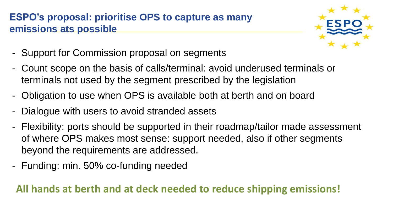## **ESPO's proposal: prioritise OPS to capture as many emissions ats possible**



- Support for Commission proposal on segments
- Count scope on the basis of calls/terminal: avoid underused terminals or terminals not used by the segment prescribed by the legislation
- Obligation to use when OPS is available both at berth and on board
- Dialogue with users to avoid stranded assets
- Flexibility: ports should be supported in their roadmap/tailor made assessment of where OPS makes most sense: support needed, also if other segments beyond the requirements are addressed.
- Funding: min. 50% co-funding needed

# **All hands at berth and at deck needed to reduce shipping emissions!**